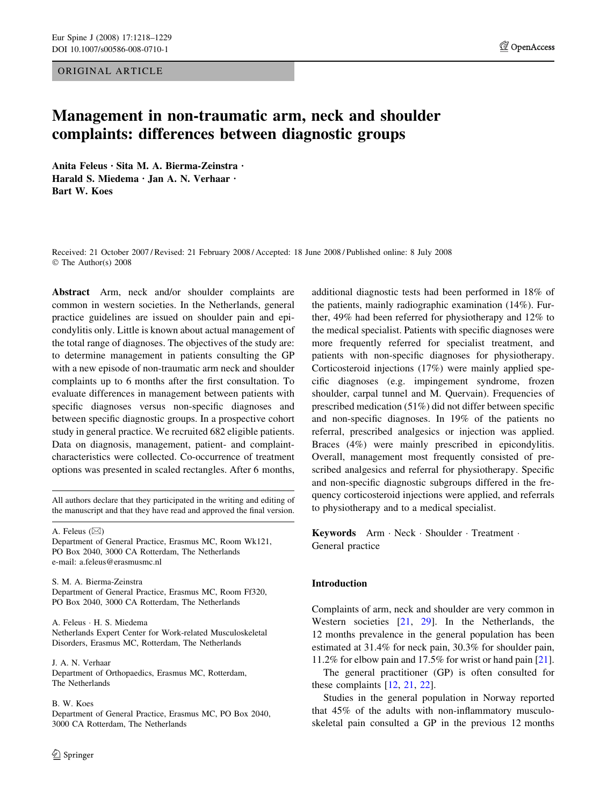ORIGINAL ARTICLE

# Management in non-traumatic arm, neck and shoulder complaints: differences between diagnostic groups

Anita Feleus · Sita M. A. Bierma-Zeinstra · Harald S. Miedema · Jan A. N. Verhaar · Bart W. Koes

Received: 21 October 2007 / Revised: 21 February 2008 / Accepted: 18 June 2008 / Published online: 8 July 2008 The Author(s) 2008

Abstract Arm, neck and/or shoulder complaints are common in western societies. In the Netherlands, general practice guidelines are issued on shoulder pain and epicondylitis only. Little is known about actual management of the total range of diagnoses. The objectives of the study are: to determine management in patients consulting the GP with a new episode of non-traumatic arm neck and shoulder complaints up to 6 months after the first consultation. To evaluate differences in management between patients with specific diagnoses versus non-specific diagnoses and between specific diagnostic groups. In a prospective cohort study in general practice. We recruited 682 eligible patients. Data on diagnosis, management, patient- and complaintcharacteristics were collected. Co-occurrence of treatment options was presented in scaled rectangles. After 6 months,

All authors declare that they participated in the writing and editing of the manuscript and that they have read and approved the final version.

A. Feleus  $(\boxtimes)$ 

Department of General Practice, Erasmus MC, Room Wk121, PO Box 2040, 3000 CA Rotterdam, The Netherlands e-mail: a.feleus@erasmusmc.nl

S. M. A. Bierma-Zeinstra Department of General Practice, Erasmus MC, Room Ff320, PO Box 2040, 3000 CA Rotterdam, The Netherlands

A. Feleus · H. S. Miedema Netherlands Expert Center for Work-related Musculoskeletal Disorders, Erasmus MC, Rotterdam, The Netherlands

J. A. N. Verhaar Department of Orthopaedics, Erasmus MC, Rotterdam, The Netherlands

B. W. Koes

Department of General Practice, Erasmus MC, PO Box 2040, 3000 CA Rotterdam, The Netherlands

additional diagnostic tests had been performed in 18% of the patients, mainly radiographic examination (14%). Further, 49% had been referred for physiotherapy and 12% to the medical specialist. Patients with specific diagnoses were more frequently referred for specialist treatment, and patients with non-specific diagnoses for physiotherapy. Corticosteroid injections (17%) were mainly applied specific diagnoses (e.g. impingement syndrome, frozen shoulder, carpal tunnel and M. Quervain). Frequencies of prescribed medication (51%) did not differ between specific and non-specific diagnoses. In 19% of the patients no referral, prescribed analgesics or injection was applied. Braces (4%) were mainly prescribed in epicondylitis. Overall, management most frequently consisted of prescribed analgesics and referral for physiotherapy. Specific and non-specific diagnostic subgroups differed in the frequency corticosteroid injections were applied, and referrals to physiotherapy and to a medical specialist.

Keywords Arm · Neck · Shoulder · Treatment · General practice

# Introduction

Complaints of arm, neck and shoulder are very common in Western societies [\[21](#page-10-0), [29](#page-11-0)]. In the Netherlands, the 12 months prevalence in the general population has been estimated at 31.4% for neck pain, 30.3% for shoulder pain, 11.2% for elbow pain and 17.5% for wrist or hand pain [\[21](#page-10-0)].

The general practitioner (GP) is often consulted for these complaints [[12,](#page-10-0) [21](#page-10-0), [22](#page-10-0)].

Studies in the general population in Norway reported that 45% of the adults with non-inflammatory musculoskeletal pain consulted a GP in the previous 12 months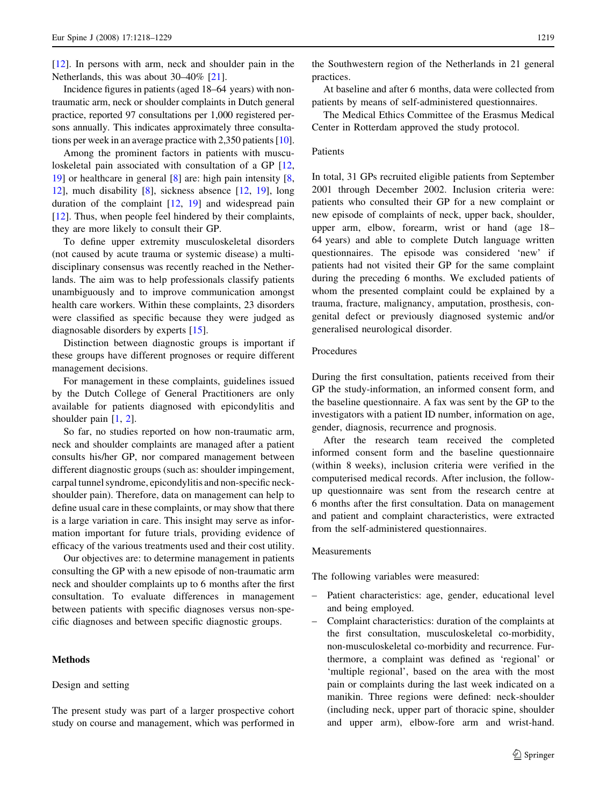[\[12](#page-10-0)]. In persons with arm, neck and shoulder pain in the Netherlands, this was about 30–40% [\[21](#page-10-0)].

Incidence figures in patients (aged 18–64 years) with nontraumatic arm, neck or shoulder complaints in Dutch general practice, reported 97 consultations per 1,000 registered persons annually. This indicates approximately three consultations per week in an average practice with 2,350 patients [[10](#page-10-0)].

Among the prominent factors in patients with muscu-loskeletal pain associated with consultation of a GP [[12,](#page-10-0) [19](#page-10-0)] or healthcare in general [[8\]](#page-10-0) are: high pain intensity [[8,](#page-10-0) [12](#page-10-0)], much disability [[8\]](#page-10-0), sickness absence [[12,](#page-10-0) [19](#page-10-0)], long duration of the complaint  $[12, 19]$  $[12, 19]$  $[12, 19]$  $[12, 19]$  and widespread pain [\[12](#page-10-0)]. Thus, when people feel hindered by their complaints, they are more likely to consult their GP.

To define upper extremity musculoskeletal disorders (not caused by acute trauma or systemic disease) a multidisciplinary consensus was recently reached in the Netherlands. The aim was to help professionals classify patients unambiguously and to improve communication amongst health care workers. Within these complaints, 23 disorders were classified as specific because they were judged as diagnosable disorders by experts [[15\]](#page-10-0).

Distinction between diagnostic groups is important if these groups have different prognoses or require different management decisions.

For management in these complaints, guidelines issued by the Dutch College of General Practitioners are only available for patients diagnosed with epicondylitis and shoulder pain [[1,](#page-10-0) [2](#page-10-0)].

So far, no studies reported on how non-traumatic arm, neck and shoulder complaints are managed after a patient consults his/her GP, nor compared management between different diagnostic groups (such as: shoulder impingement, carpal tunnel syndrome, epicondylitis and non-specific neckshoulder pain). Therefore, data on management can help to define usual care in these complaints, or may show that there is a large variation in care. This insight may serve as information important for future trials, providing evidence of efficacy of the various treatments used and their cost utility.

Our objectives are: to determine management in patients consulting the GP with a new episode of non-traumatic arm neck and shoulder complaints up to 6 months after the first consultation. To evaluate differences in management between patients with specific diagnoses versus non-specific diagnoses and between specific diagnostic groups.

# **Methods**

#### Design and setting

The present study was part of a larger prospective cohort study on course and management, which was performed in the Southwestern region of the Netherlands in 21 general practices.

At baseline and after 6 months, data were collected from patients by means of self-administered questionnaires.

The Medical Ethics Committee of the Erasmus Medical Center in Rotterdam approved the study protocol.

# Patients

In total, 31 GPs recruited eligible patients from September 2001 through December 2002. Inclusion criteria were: patients who consulted their GP for a new complaint or new episode of complaints of neck, upper back, shoulder, upper arm, elbow, forearm, wrist or hand (age 18– 64 years) and able to complete Dutch language written questionnaires. The episode was considered 'new' if patients had not visited their GP for the same complaint during the preceding 6 months. We excluded patients of whom the presented complaint could be explained by a trauma, fracture, malignancy, amputation, prosthesis, congenital defect or previously diagnosed systemic and/or generalised neurological disorder.

# Procedures

During the first consultation, patients received from their GP the study-information, an informed consent form, and the baseline questionnaire. A fax was sent by the GP to the investigators with a patient ID number, information on age, gender, diagnosis, recurrence and prognosis.

After the research team received the completed informed consent form and the baseline questionnaire (within 8 weeks), inclusion criteria were verified in the computerised medical records. After inclusion, the followup questionnaire was sent from the research centre at 6 months after the first consultation. Data on management and patient and complaint characteristics, were extracted from the self-administered questionnaires.

#### Measurements

The following variables were measured:

- Patient characteristics: age, gender, educational level and being employed.
- Complaint characteristics: duration of the complaints at the first consultation, musculoskeletal co-morbidity, non-musculoskeletal co-morbidity and recurrence. Furthermore, a complaint was defined as 'regional' or 'multiple regional', based on the area with the most pain or complaints during the last week indicated on a manikin. Three regions were defined: neck-shoulder (including neck, upper part of thoracic spine, shoulder and upper arm), elbow-fore arm and wrist-hand.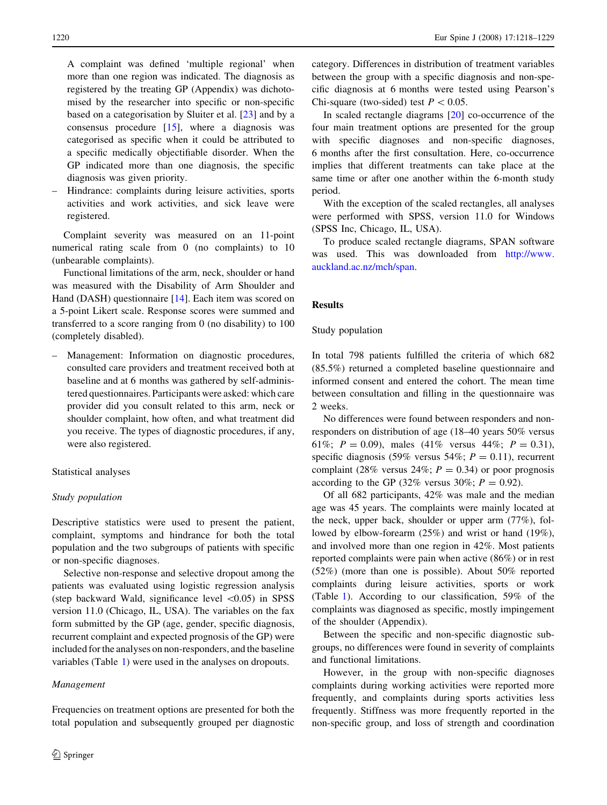A complaint was defined 'multiple regional' when more than one region was indicated. The diagnosis as registered by the treating GP (Appendix) was dichotomised by the researcher into specific or non-specific based on a categorisation by Sluiter et al. [[23\]](#page-10-0) and by a consensus procedure  $[15]$  $[15]$ , where a diagnosis was categorised as specific when it could be attributed to a specific medically objectifiable disorder. When the GP indicated more than one diagnosis, the specific diagnosis was given priority.

– Hindrance: complaints during leisure activities, sports activities and work activities, and sick leave were registered.

Complaint severity was measured on an 11-point numerical rating scale from 0 (no complaints) to 10 (unbearable complaints).

Functional limitations of the arm, neck, shoulder or hand was measured with the Disability of Arm Shoulder and Hand (DASH) questionnaire [\[14](#page-10-0)]. Each item was scored on a 5-point Likert scale. Response scores were summed and transferred to a score ranging from 0 (no disability) to 100 (completely disabled).

– Management: Information on diagnostic procedures, consulted care providers and treatment received both at baseline and at 6 months was gathered by self-administered questionnaires. Participants were asked: which care provider did you consult related to this arm, neck or shoulder complaint, how often, and what treatment did you receive. The types of diagnostic procedures, if any, were also registered.

# Statistical analyses

## Study population

Descriptive statistics were used to present the patient, complaint, symptoms and hindrance for both the total population and the two subgroups of patients with specific or non-specific diagnoses.

Selective non-response and selective dropout among the patients was evaluated using logistic regression analysis (step backward Wald, significance level  $\langle 0.05 \rangle$  in SPSS version 11.0 (Chicago, IL, USA). The variables on the fax form submitted by the GP (age, gender, specific diagnosis, recurrent complaint and expected prognosis of the GP) were included for the analyses on non-responders, and the baseline variables (Table [1](#page-3-0)) were used in the analyses on dropouts.

#### Management

Frequencies on treatment options are presented for both the total population and subsequently grouped per diagnostic category. Differences in distribution of treatment variables between the group with a specific diagnosis and non-specific diagnosis at 6 months were tested using Pearson's Chi-square (two-sided) test  $P < 0.05$ .

In scaled rectangle diagrams [\[20](#page-10-0)] co-occurrence of the four main treatment options are presented for the group with specific diagnoses and non-specific diagnoses, 6 months after the first consultation. Here, co-occurrence implies that different treatments can take place at the same time or after one another within the 6-month study period.

With the exception of the scaled rectangles, all analyses were performed with SPSS, version 11.0 for Windows (SPSS Inc, Chicago, IL, USA).

To produce scaled rectangle diagrams, SPAN software was used. This was downloaded from [http://www.](http://www.auckland.ac.nz/mch/span) [auckland.ac.nz/mch/span.](http://www.auckland.ac.nz/mch/span)

## Results

# Study population

In total 798 patients fulfilled the criteria of which 682 (85.5%) returned a completed baseline questionnaire and informed consent and entered the cohort. The mean time between consultation and filling in the questionnaire was 2 weeks.

No differences were found between responders and nonresponders on distribution of age (18–40 years 50% versus 61%;  $P = 0.09$ ), males (41% versus 44%;  $P = 0.31$ ), specific diagnosis (59% versus 54%;  $P = 0.11$ ), recurrent complaint (28% versus 24%;  $P = 0.34$ ) or poor prognosis according to the GP (32% versus 30%;  $P = 0.92$ ).

Of all 682 participants, 42% was male and the median age was 45 years. The complaints were mainly located at the neck, upper back, shoulder or upper arm (77%), followed by elbow-forearm (25%) and wrist or hand (19%), and involved more than one region in 42%. Most patients reported complaints were pain when active (86%) or in rest (52%) (more than one is possible). About 50% reported complaints during leisure activities, sports or work (Table [1\)](#page-3-0). According to our classification, 59% of the complaints was diagnosed as specific, mostly impingement of the shoulder (Appendix).

Between the specific and non-specific diagnostic subgroups, no differences were found in severity of complaints and functional limitations.

However, in the group with non-specific diagnoses complaints during working activities were reported more frequently, and complaints during sports activities less frequently. Stiffness was more frequently reported in the non-specific group, and loss of strength and coordination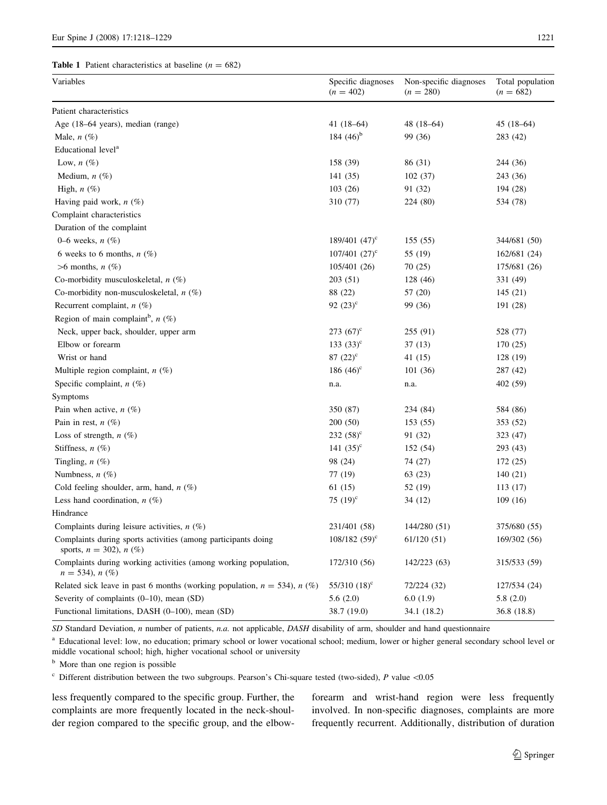#### <span id="page-3-0"></span>**Table 1** Patient characteristics at baseline ( $n = 682$ )

| Variables                                                                                     | Specific diagnoses<br>$(n = 402)$ | Non-specific diagnoses<br>$(n = 280)$ | Total population<br>$(n = 682)$ |
|-----------------------------------------------------------------------------------------------|-----------------------------------|---------------------------------------|---------------------------------|
| Patient characteristics                                                                       |                                   |                                       |                                 |
| Age (18–64 years), median (range)                                                             | 41 $(18-64)$                      | $48(18-64)$                           | $45(18-64)$                     |
| Male, $n$ (%)                                                                                 | 184 $(46)^b$                      | 99 (36)                               | 283 (42)                        |
| Educational level <sup>a</sup>                                                                |                                   |                                       |                                 |
| Low, $n(\%)$                                                                                  | 158 (39)                          | 86 (31)                               | 244 (36)                        |
| Medium, $n$ $(\%)$                                                                            | 141 (35)                          | 102(37)                               | 243 (36)                        |
| High, $n$ $(\%)$                                                                              | 103(26)                           | 91 (32)                               | 194 (28)                        |
| Having paid work, $n$ (%)                                                                     | 310 (77)                          | 224 (80)                              | 534 (78)                        |
| Complaint characteristics                                                                     |                                   |                                       |                                 |
| Duration of the complaint                                                                     |                                   |                                       |                                 |
| 0–6 weeks, $n$ $(\%)$                                                                         | 189/401 $(47)^c$                  | 155(55)                               | 344/681 (50)                    |
| 6 weeks to 6 months, $n$ (%)                                                                  | $107/401$ $(27)^{\circ}$          | 55 (19)                               | 162/681 (24)                    |
| $>6$ months, $n$ (%)                                                                          | 105/401 (26)                      | 70(25)                                | 175/681 (26)                    |
| Co-morbidity musculoskeletal, $n$ (%)                                                         | 203(51)                           | 128 (46)                              | 331 (49)                        |
| Co-morbidity non-musculoskeletal, $n$ (%)                                                     | 88 (22)                           | 57 (20)                               | 145(21)                         |
| Recurrent complaint, $n$ (%)                                                                  | 92 $(23)^{c}$                     | 99 (36)                               | 191 (28)                        |
| Region of main complaint <sup>b</sup> , $n$ (%)                                               |                                   |                                       |                                 |
| Neck, upper back, shoulder, upper arm                                                         | $273(67)^{\circ}$                 | 255 (91)                              | 528 (77)                        |
| Elbow or forearm                                                                              | 133 $(33)^{\circ}$                | 37(13)                                | 170(25)                         |
| Wrist or hand                                                                                 | 87 $(22)^{c}$                     | 41 (15)                               | 128 (19)                        |
| Multiple region complaint, $n$ (%)                                                            | 186 $(46)^{\circ}$                | 101 (36)                              | 287 (42)                        |
| Specific complaint, $n$ (%)                                                                   | n.a.                              | n.a.                                  | 402 (59)                        |
| Symptoms                                                                                      |                                   |                                       |                                 |
| Pain when active, $n$ (%)                                                                     | 350 (87)                          | 234 (84)                              | 584 (86)                        |
| Pain in rest, $n$ (%)                                                                         | 200(50)                           | 153 (55)                              | 353 (52)                        |
| Loss of strength, $n(\%)$                                                                     | $232(58)^{\circ}$                 | 91 (32)                               | 323 (47)                        |
| Stiffness, $n$ (%)                                                                            | 141 $(35)^{\circ}$                | 152 (54)                              | 293 (43)                        |
| Tingling, $n$ (%)                                                                             | 98 (24)                           | 74 (27)                               | 172 (25)                        |
| Numbness, $n$ (%)                                                                             | 77 (19)                           | 63(23)                                | 140(21)                         |
| Cold feeling shoulder, arm, hand, $n$ (%)                                                     | 61(15)                            | 52 (19)                               | 113(17)                         |
| Less hand coordination, $n$ (%)                                                               | 75 $(19)^{\circ}$                 | 34 (12)                               | 109(16)                         |
| Hindrance                                                                                     |                                   |                                       |                                 |
| Complaints during leisure activities, $n$ (%)                                                 | 231/401 (58)                      | 144/280 (51)                          | 375/680 (55)                    |
| Complaints during sports activities (among participants doing<br>sports, $n = 302$ ), $n$ (%) | 108/182 $(59)^c$                  | 61/120(51)                            | 169/302 (56)                    |
| Complaints during working activities (among working population,<br>$n = 534$ , $n$ (%)        | 172/310 (56)                      | 142/223 (63)                          | 315/533 (59)                    |
| Related sick leave in past 6 months (working population, $n = 534$ ), $n$ (%)                 | $55/310$ $(18)^{\circ}$           | 72/224 (32)                           | 127/534 (24)                    |
| Severity of complaints $(0-10)$ , mean $(SD)$                                                 | 5.6(2.0)                          | 6.0(1.9)                              | 5.8(2.0)                        |

SD Standard Deviation, n number of patients, n.a. not applicable, DASH disability of arm, shoulder and hand questionnaire

<sup>a</sup> Educational level: low, no education; primary school or lower vocational school; medium, lower or higher general secondary school level or middle vocational school; high, higher vocational school or university

Functional limitations, DASH (0–100), mean (SD) 38.7 (19.0) 34.1 (18.2) 36.8 (18.8)

<sup>b</sup> More than one region is possible

 $\degree$  Different distribution between the two subgroups. Pearson's Chi-square tested (two-sided), P value <0.05

less frequently compared to the specific group. Further, the complaints are more frequently located in the neck-shoulder region compared to the specific group, and the elbowforearm and wrist-hand region were less frequently involved. In non-specific diagnoses, complaints are more frequently recurrent. Additionally, distribution of duration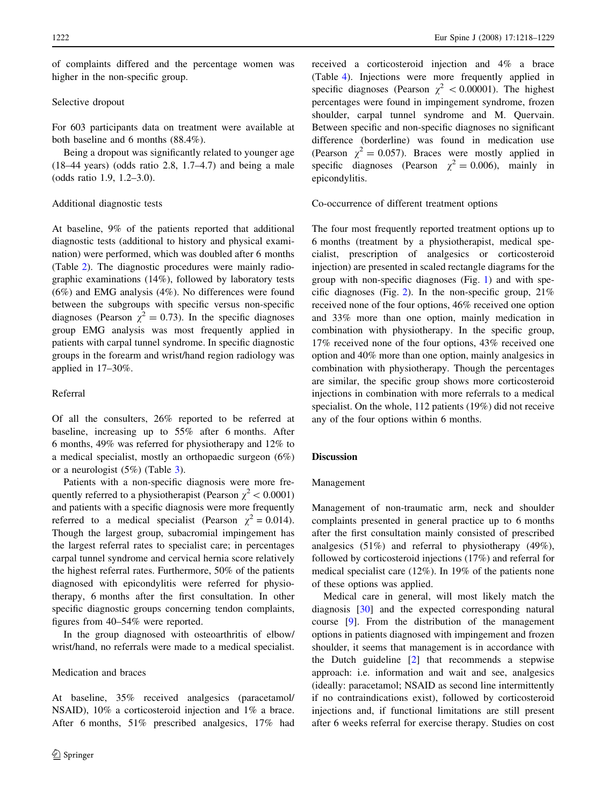of complaints differed and the percentage women was higher in the non-specific group.

#### Selective dropout

For 603 participants data on treatment were available at both baseline and 6 months (88.4%).

Being a dropout was significantly related to younger age  $(18-44 \text{ years})$  (odds ratio 2.8, 1.7–4.7) and being a male (odds ratio 1.9, 1.2–3.0).

# Additional diagnostic tests

At baseline, 9% of the patients reported that additional diagnostic tests (additional to history and physical examination) were performed, which was doubled after 6 months (Table [2](#page-5-0)). The diagnostic procedures were mainly radiographic examinations (14%), followed by laboratory tests (6%) and EMG analysis (4%). No differences were found between the subgroups with specific versus non-specific diagnoses (Pearson  $\chi^2 = 0.73$ ). In the specific diagnoses group EMG analysis was most frequently applied in patients with carpal tunnel syndrome. In specific diagnostic groups in the forearm and wrist/hand region radiology was applied in 17–30%.

#### Referral

Of all the consulters, 26% reported to be referred at baseline, increasing up to 55% after 6 months. After 6 months, 49% was referred for physiotherapy and 12% to a medical specialist, mostly an orthopaedic surgeon (6%) or a neurologist (5%) (Table [3\)](#page-6-0).

Patients with a non-specific diagnosis were more frequently referred to a physiotherapist (Pearson  $\chi^2$  < 0.0001) and patients with a specific diagnosis were more frequently referred to a medical specialist (Pearson  $\chi^2 = 0.014$ ). Though the largest group, subacromial impingement has the largest referral rates to specialist care; in percentages carpal tunnel syndrome and cervical hernia score relatively the highest referral rates. Furthermore, 50% of the patients diagnosed with epicondylitis were referred for physiotherapy, 6 months after the first consultation. In other specific diagnostic groups concerning tendon complaints, figures from 40–54% were reported.

In the group diagnosed with osteoarthritis of elbow/ wrist/hand, no referrals were made to a medical specialist.

#### Medication and braces

At baseline, 35% received analgesics (paracetamol/ NSAID), 10% a corticosteroid injection and 1% a brace. After 6 months, 51% prescribed analgesics, 17% had received a corticosteroid injection and 4% a brace (Table [4\)](#page-7-0). Injections were more frequently applied in specific diagnoses (Pearson  $\chi^2$  < 0.00001). The highest percentages were found in impingement syndrome, frozen shoulder, carpal tunnel syndrome and M. Quervain. Between specific and non-specific diagnoses no significant difference (borderline) was found in medication use (Pearson  $\chi^2 = 0.057$ ). Braces were mostly applied in specific diagnoses (Pearson  $\chi^2 = 0.006$ ), mainly in epicondylitis.

Co-occurrence of different treatment options

The four most frequently reported treatment options up to 6 months (treatment by a physiotherapist, medical specialist, prescription of analgesics or corticosteroid injection) are presented in scaled rectangle diagrams for the group with non-specific diagnoses (Fig. [1\)](#page-8-0) and with spe-cific diagnoses (Fig. [2](#page-8-0)). In the non-specific group,  $21\%$ received none of the four options, 46% received one option and 33% more than one option, mainly medication in combination with physiotherapy. In the specific group, 17% received none of the four options, 43% received one option and 40% more than one option, mainly analgesics in combination with physiotherapy. Though the percentages are similar, the specific group shows more corticosteroid injections in combination with more referrals to a medical specialist. On the whole, 112 patients (19%) did not receive any of the four options within 6 months.

# Discussion

# Management

Management of non-traumatic arm, neck and shoulder complaints presented in general practice up to 6 months after the first consultation mainly consisted of prescribed analgesics (51%) and referral to physiotherapy (49%), followed by corticosteroid injections (17%) and referral for medical specialist care (12%). In 19% of the patients none of these options was applied.

Medical care in general, will most likely match the diagnosis [\[30](#page-11-0)] and the expected corresponding natural course [\[9](#page-10-0)]. From the distribution of the management options in patients diagnosed with impingement and frozen shoulder, it seems that management is in accordance with the Dutch guideline [[2\]](#page-10-0) that recommends a stepwise approach: i.e. information and wait and see, analgesics (ideally: paracetamol; NSAID as second line intermittently if no contraindications exist), followed by corticosteroid injections and, if functional limitations are still present after 6 weeks referral for exercise therapy. Studies on cost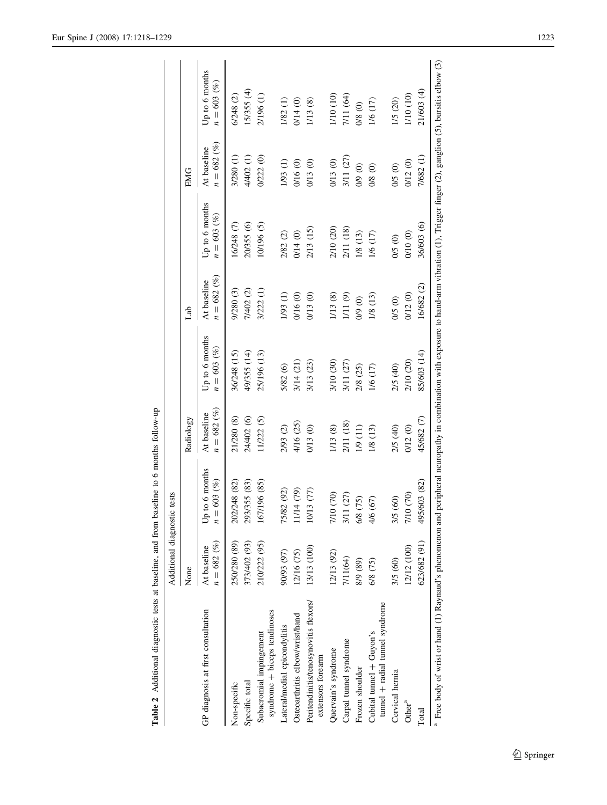<span id="page-5-0"></span>

|                                                                                                                                                                                                         | Additional diagnostic tests  |                                    |                            |                                 |                                |                                 |                              |                                 |
|---------------------------------------------------------------------------------------------------------------------------------------------------------------------------------------------------------|------------------------------|------------------------------------|----------------------------|---------------------------------|--------------------------------|---------------------------------|------------------------------|---------------------------------|
|                                                                                                                                                                                                         | None                         |                                    | Radiology                  |                                 | Lab                            |                                 | EMG                          |                                 |
| GP diagnosis at first consultation                                                                                                                                                                      | $n = 682 (%)$<br>At baseline | Up to 6 months<br>$= 603 (%)$<br>z | $= 682 (%)$<br>At baseline | Up to 6 months<br>$n = 603 (%)$ | $n = 682\,(\%)$<br>At baseline | Up to 6 months<br>$n = 603 (%)$ | $n = 682 (%)$<br>At baseline | Up to 6 months<br>$n = 603 (%)$ |
| Non-specific                                                                                                                                                                                            | 250/280 (89)                 | 202/248 (82)                       | 21/280 (8)                 | 36/248 (15)                     | 9/280 (3)                      | 16/248 (7)                      | 3/280 (1)                    | 6/248(2)                        |
| Specific total                                                                                                                                                                                          | 373/402 (93)                 | 93/355 (83)<br>ă                   | 24/402 (6)                 | 49/355 (14)                     | 7/402 (2)                      | 20/355 (6)                      | 4/402 (1)                    | 15/355 (4)                      |
| syndrome + biceps tendinoses<br>Subacromial impingement                                                                                                                                                 | 210/222 (95)                 | 167/196 (85)                       | 11/222 (5)                 | 25/196 (13)                     | 3/222 (1)                      | 10/196 (5)                      | 0/222(0)                     | 2/196(1)                        |
| Lateral/medial epicondylitis                                                                                                                                                                            | 90/93 (97)                   | 75/82 (92)                         | 2/93 (2)                   | 5/82 (6)                        | 1/93 (1)                       | 2/82 (2)                        | 1/93 (1)                     | 1/82(1)                         |
| Osteoarthritis elbow/wrist/hand                                                                                                                                                                         | 12/16 (75)                   | 1/14(79)                           | 4/16 (25)                  | 3/14 (21)                       | 0/16 (0)                       | 0/14(0)                         | 0/16 (0)                     | 0/14(0)                         |
| Peritendinitis/tenosynovitis flexors/<br>extensors forearm                                                                                                                                              | 13/13 (100)                  | 0/13(77)                           | 0/13 (0)                   | 3/13 (23)                       | 0/13(0)                        | 2/13 (15)                       | 0/13 (0)                     | 1/13(8)                         |
| Quervain's syndrome                                                                                                                                                                                     | 12/13 (92)                   | 7/10 (70)                          | 1/13(8)                    | 3/10 (30)                       | 1/13(8)                        | 2/10 (20)                       | 0/13 (0)                     | 1/10 (10)                       |
| Carpal tunnel syndrome                                                                                                                                                                                  | 7/11(64)                     | 3/11 (27)                          | 2/11 (18)                  | 3/11 (27)                       | 1/11(9)                        | 2/11 (18)                       | 3/11 (27)                    | 7/11 (64)                       |
| Frozen shoulder                                                                                                                                                                                         | 8/9 (89)                     | 6/8 (75)                           | 1/9 (11)                   | 2/8 (25)                        | 0/9(0)                         | 1/8(13)                         | 0/9 (0)                      | 0/8(0)                          |
| tunnel + radial tunnel syndrome<br>Cubital tunnel $+$ Guyon's                                                                                                                                           | 6/8 (75)                     | 4/6 (67)                           | 1/8 (13)                   | 1/6 (17)                        | 1/8(13)                        | 1/6 (17)                        | $0/8$ $(0)$                  | 1/6 (17)                        |
| Cervical hemia                                                                                                                                                                                          | 3/5 (60)                     | 3/5 (60)                           | 2/5 (40)                   | 2/5 (40)                        | 0/5(0)                         | 0/5 (0)                         | 0/5 (0)                      | 1/5 (20)                        |
| Other <sup>a</sup>                                                                                                                                                                                      | 12/12 (100)                  | 7/10 (70)                          | 0/12(0)                    | 2/10 (20)                       | 0/12(0)                        | 0/10(0)                         | 0/12 (0)                     | 1/10 (10)                       |
| Total                                                                                                                                                                                                   | 623/682 (91)                 | 495/603 (82)                       | 45/682 (7)                 | 85/603 (14)                     | 16/682 (2)                     | 36/603 (6)                      | 7/682(1)                     | 21/603 (4)                      |
| <sup>4</sup> Free body of wrist or hand (1) Raynaud's phenomenon and peripheral neuropathy in combination with exposure to hand-arm vibration (1), Trigger finger (2), ganglion (5), bursitis elbow (3) |                              |                                    |                            |                                 |                                |                                 |                              |                                 |

Table 2 Additional diagnostic tests at baseline, and from baseline to 6 months follow-up

Table 2 Additional diagnostic tests at baseline, and from baseline to 6 months follow-up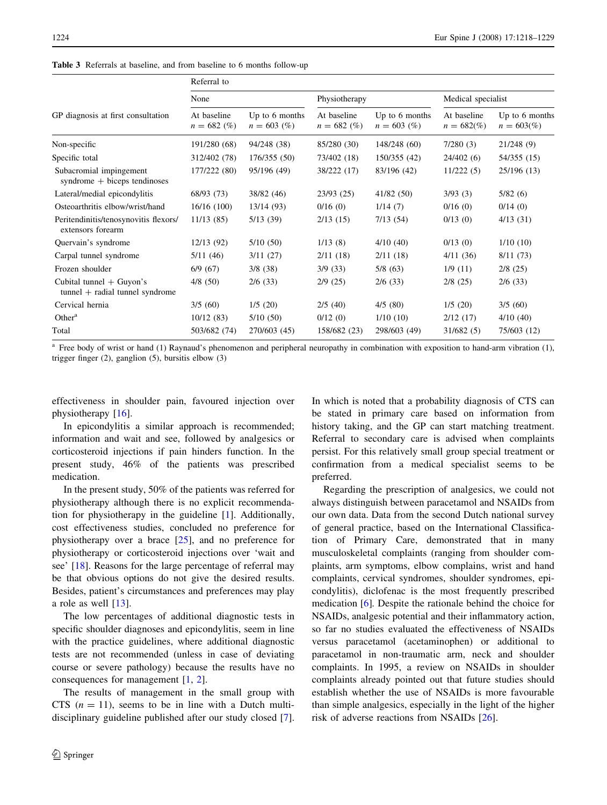|                                                                 | Referral to                   |                                 |                               |                                 |                                 |                                    |  |  |
|-----------------------------------------------------------------|-------------------------------|---------------------------------|-------------------------------|---------------------------------|---------------------------------|------------------------------------|--|--|
|                                                                 | None                          |                                 | Physiotherapy                 |                                 | Medical specialist              |                                    |  |  |
| GP diagnosis at first consultation                              | At baseline<br>$n = 682\ (%)$ | Up to 6 months<br>$n = 603$ (%) | At baseline<br>$n = 682\ (%)$ | Up to 6 months<br>$n = 603$ (%) | At baseline<br>$n = 682\degree$ | Up to 6 months<br>$n = 603\degree$ |  |  |
| Non-specific                                                    | 191/280 (68)                  | 94/248 (38)                     | 85/280 (30)                   | 148/248 (60)                    | 7/280(3)                        | 21/248(9)                          |  |  |
| Specific total                                                  | 312/402 (78)                  | 176/355 (50)                    | 73/402 (18)                   | 150/355 (42)                    | 24/402(6)                       | 54/355 (15)                        |  |  |
| Subacromial impingement<br>syndrome $+$ biceps tendinoses       | 177/222 (80)                  | 95/196 (49)                     | 38/222 (17)                   | 83/196 (42)                     | 11/222(5)                       | 25/196 (13)                        |  |  |
| Lateral/medial epicondylitis                                    | 68/93 (73)                    | 38/82 (46)                      | 23/93(25)                     | 41/82 (50)                      | 3/93(3)                         | 5/82(6)                            |  |  |
| Osteoarthritis elbow/wrist/hand                                 | 16/16(100)                    | 13/14(93)                       | 0/16(0)                       | 1/14(7)                         | 0/16(0)                         | 0/14(0)                            |  |  |
| Peritendinitis/tenosynovitis flexors/<br>extensors forearm      | 11/13(85)                     | 5/13(39)                        | 2/13(15)                      | 7/13(54)                        | 0/13(0)                         | 4/13(31)                           |  |  |
| Quervain's syndrome                                             | 12/13 (92)                    | 5/10(50)                        | 1/13(8)                       | 4/10(40)                        | 0/13(0)                         | 1/10(10)                           |  |  |
| Carpal tunnel syndrome                                          | 5/11(46)                      | 3/11(27)                        | 2/11(18)                      | 2/11(18)                        | 4/11(36)                        | 8/11(73)                           |  |  |
| Frozen shoulder                                                 | 6/9(67)                       | 3/8(38)                         | 3/9(33)                       | 5/8(63)                         | 1/9(11)                         | $2/8$ (25)                         |  |  |
| Cubital tunnel $+$ Guyon's<br>$tunnel + radial tunnel syndrome$ | $4/8$ (50)                    | 2/6(33)                         | 2/9(25)                       | 2/6(33)                         | $2/8$ (25)                      | $2/6$ (33)                         |  |  |
| Cervical hernia                                                 | 3/5(60)                       | 1/5(20)                         | 2/5(40)                       | 4/5(80)                         | 1/5(20)                         | 3/5(60)                            |  |  |
| Other <sup>a</sup>                                              | 10/12(83)                     | 5/10(50)                        | 0/12(0)                       | 1/10(10)                        | 2/12(17)                        | 4/10(40)                           |  |  |
| Total                                                           | 503/682 (74)                  | 270/603 (45)                    | 158/682 (23)                  | 298/603 (49)                    | 31/682(5)                       | 75/603 (12)                        |  |  |

<span id="page-6-0"></span>Table 3 Referrals at baseline, and from baseline to 6 months follow-up

<sup>a</sup> Free body of wrist or hand (1) Raynaud's phenomenon and peripheral neuropathy in combination with exposition to hand-arm vibration (1), trigger finger (2), ganglion (5), bursitis elbow (3)

effectiveness in shoulder pain, favoured injection over physiotherapy [\[16](#page-10-0)].

In epicondylitis a similar approach is recommended; information and wait and see, followed by analgesics or corticosteroid injections if pain hinders function. In the present study, 46% of the patients was prescribed medication.

In the present study, 50% of the patients was referred for physiotherapy although there is no explicit recommendation for physiotherapy in the guideline [[1\]](#page-10-0). Additionally, cost effectiveness studies, concluded no preference for physiotherapy over a brace  $[25]$  $[25]$ , and no preference for physiotherapy or corticosteroid injections over 'wait and see' [\[18](#page-10-0)]. Reasons for the large percentage of referral may be that obvious options do not give the desired results. Besides, patient's circumstances and preferences may play a role as well  $[13]$  $[13]$ .

The low percentages of additional diagnostic tests in specific shoulder diagnoses and epicondylitis, seem in line with the practice guidelines, where additional diagnostic tests are not recommended (unless in case of deviating course or severe pathology) because the results have no consequences for management [\[1](#page-10-0), [2](#page-10-0)].

The results of management in the small group with CTS  $(n = 11)$ , seems to be in line with a Dutch multidisciplinary guideline published after our study closed [\[7](#page-10-0)].

In which is noted that a probability diagnosis of CTS can be stated in primary care based on information from history taking, and the GP can start matching treatment. Referral to secondary care is advised when complaints persist. For this relatively small group special treatment or confirmation from a medical specialist seems to be preferred.

Regarding the prescription of analgesics, we could not always distinguish between paracetamol and NSAIDs from our own data. Data from the second Dutch national survey of general practice, based on the International Classification of Primary Care, demonstrated that in many musculoskeletal complaints (ranging from shoulder complaints, arm symptoms, elbow complains, wrist and hand complaints, cervical syndromes, shoulder syndromes, epicondylitis), diclofenac is the most frequently prescribed medication [\[6](#page-10-0)]. Despite the rationale behind the choice for NSAIDs, analgesic potential and their inflammatory action, so far no studies evaluated the effectiveness of NSAIDs versus paracetamol (acetaminophen) or additional to paracetamol in non-traumatic arm, neck and shoulder complaints. In 1995, a review on NSAIDs in shoulder complaints already pointed out that future studies should establish whether the use of NSAIDs is more favourable than simple analgesics, especially in the light of the higher risk of adverse reactions from NSAIDs [\[26](#page-10-0)].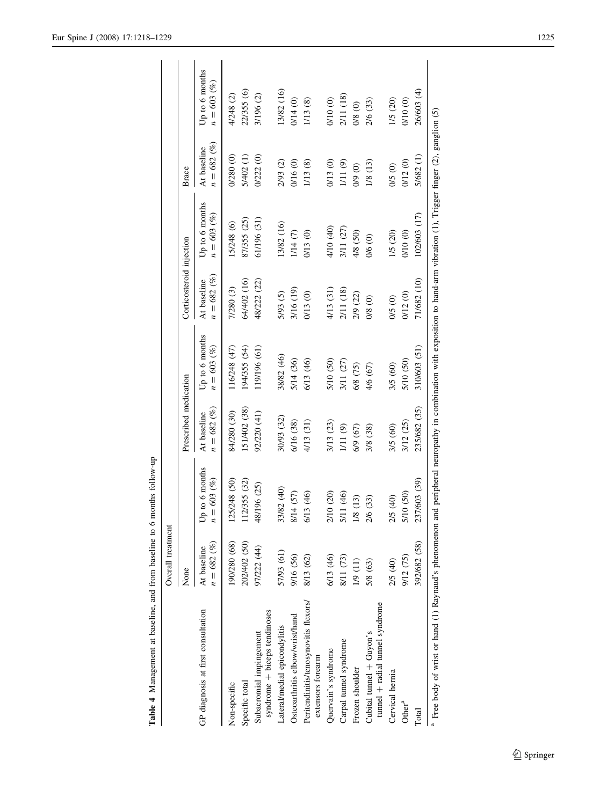<span id="page-7-0"></span>

|                                                                      | Overall treatment             |                                      |                                |                                 |                               |                                                                                                                  |                              |                                 |
|----------------------------------------------------------------------|-------------------------------|--------------------------------------|--------------------------------|---------------------------------|-------------------------------|------------------------------------------------------------------------------------------------------------------|------------------------------|---------------------------------|
|                                                                      | None                          |                                      | Prescribed medication          |                                 | Corticosteroid injection      |                                                                                                                  | Brace                        |                                 |
| GP diagnosis at first consultation                                   | $n = 682\ (%)$<br>At baseline | to 6 months<br>603 (%)<br>$n =$<br>ڭ | $n = 682\,(\%)$<br>At baseline | Up to 6 months<br>$n = 603 (%)$ | $n = 682\ (%)$<br>At baseline | Up to 6 months<br>$n = 603 (%)$                                                                                  | $n = 682 (%)$<br>At baseline | Up to 6 months<br>$n = 603 (%)$ |
| Non-specific                                                         | 190/280 (68)                  | 125/248 (50)                         | 84/280 (30)                    | 116/248 (47)                    | 7/280 (3)                     | 15/248 (6)                                                                                                       | 0/280(0)                     | 4/248 (2)                       |
| Specific total                                                       | 202/402 (50)                  | 12/355 (32)                          | 151/402 (38)                   | 194/355 (54)                    | 64/402 (16)                   | 87/355 (25)                                                                                                      | 5/402 (1)                    | 22/355 (6)                      |
| syndrome + biceps tendinoses<br>Subacromial impingement              | 97/222 (44)                   | 196 (25)<br>48/1                     | 92/220 (41)                    | 119/196 (61)                    | 48/222 (22)                   | 61/196 (31)                                                                                                      | 0/222(0)                     | 3/196 (2)                       |
| ateral/medial epicondylitis                                          | 57/93 (61)                    | 33/82 (40)                           | 30/93 (32)                     | 38/82 (46)                      | 5/93 (5)                      | 13/82 (16)                                                                                                       | 2/93 (2)                     | 13/82 (16)                      |
| Osteoarthritis elbow/wrist/hand                                      | 9/16 (56)                     | 8/14 (57)                            | 6/16 (38)                      | 5/14 (36)                       | 3/16 (19)                     | 1/14(7)                                                                                                          | 0/16 (0)                     | 0/14(0)                         |
| Peritendinitis/tenosynovitis flexors/<br>extensors forearm           | 8/13 (62)                     | 6/13 (46)                            | 4/13 (31)                      | 6/13 (46)                       | 0/13 (0)                      | 0/13 (0)                                                                                                         | 1/13 (8)                     | 1/13 (8)                        |
| Quervain's syndrome                                                  | 6/13 (46)                     | (20)<br>210                          | 3/13 (23)                      | 5/10 (50)                       | 4/13 (31)                     | 4/10 (40)                                                                                                        | 0/13 (0)                     | 0/10 (0)                        |
| Carpal tunnel syndrome                                               | 8/11 (73)                     | (46)<br>5/11                         | $1/11(9)$                      | 3/11 (27)                       | 2/11 (18)                     | 3/11 (27)                                                                                                        | $1/11(9)$                    | 2/11 (18)                       |
| Frozen shoulder                                                      | 1/9 (11)                      | (13)<br>1/8                          | 6/9 (67)                       | 6/8 (75)                        | 2/9 (22)                      | 4/8 (50)                                                                                                         | $0/9$ $(0)$                  | $0/8$ $(0)$                     |
| tunnel + radial tunnel syndrome<br>Cubital tunnel + Guyon's          | 5/8 (63)                      | (33)<br>2/6                          | 3/8 (38)                       | 4/6 (67)                        | $0/8$ $(0)$                   | $0/6$ (0)                                                                                                        | 1/8 (13)                     | 2/6 (33)                        |
| Cervical hernia                                                      | 2/5 (40)                      | $\widehat{40}$<br>2/5                | 3/5 (60)                       | 3/5 (60)                        | $0/2$ (0)                     | 1/5 (20)                                                                                                         | 0/5(0)                       | 1/5 (20)                        |
| $Other^a$                                                            | 9/12 (75)                     | (50)<br>5/10                         | 3/12 (25)                      | 5/10 (50)                       | 0/12(0)                       | 0/10 (0)                                                                                                         | 0/12(0)                      | 0/10(0)                         |
| Total                                                                | 392/682 (58)                  | 237/603 (39)                         | 235/682 (35)                   | 310/603 (51)                    | 71/682 (10)                   | 102/603 (17)                                                                                                     | 5/682(1)                     | 26/603 (4)                      |
| <sup>a</sup> Free body of wrist or hand (1) Raynaud's phenomenon and |                               |                                      |                                |                                 |                               | peripheral neuropathy in combination with exposition to hand-arm vibration (1), Trigger finger (2), ganglion (5) |                              |                                 |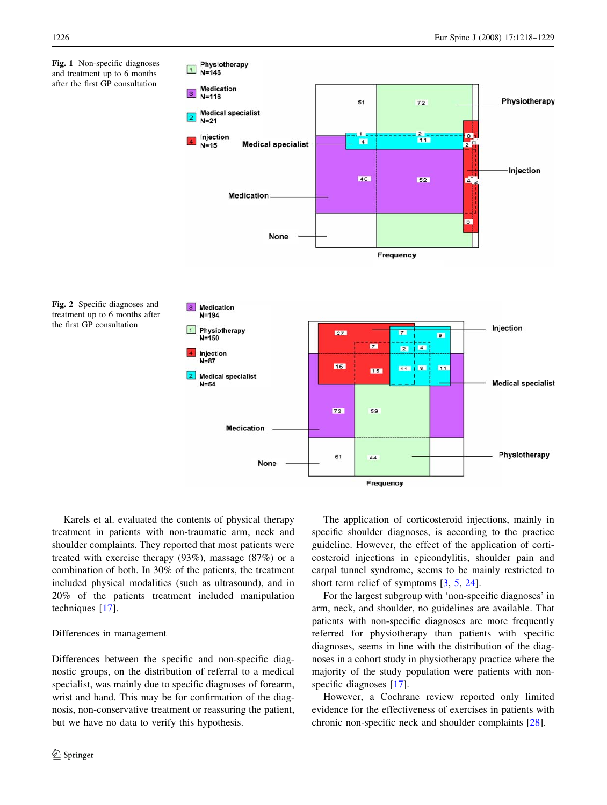<span id="page-8-0"></span>Fig. 1 Non-specific diagnoses and treatment up to 6 months after the first GP consultation



61

 $44$ 

Frequency



Karels et al. evaluated the contents of physical therapy treatment in patients with non-traumatic arm, neck and shoulder complaints. They reported that most patients were treated with exercise therapy (93%), massage (87%) or a combination of both. In 30% of the patients, the treatment included physical modalities (such as ultrasound), and in 20% of the patients treatment included manipulation techniques [[17](#page-10-0)].

**Medication** 

None

# Differences in management

Differences between the specific and non-specific diagnostic groups, on the distribution of referral to a medical specialist, was mainly due to specific diagnoses of forearm, wrist and hand. This may be for confirmation of the diagnosis, non-conservative treatment or reassuring the patient, but we have no data to verify this hypothesis.

The application of corticosteroid injections, mainly in specific shoulder diagnoses, is according to the practice guideline. However, the effect of the application of corticosteroid injections in epicondylitis, shoulder pain and carpal tunnel syndrome, seems to be mainly restricted to short term relief of symptoms [\[3](#page-10-0), [5,](#page-10-0) [24\]](#page-10-0).

Physiotherapy

For the largest subgroup with 'non-specific diagnoses' in arm, neck, and shoulder, no guidelines are available. That patients with non-specific diagnoses are more frequently referred for physiotherapy than patients with specific diagnoses, seems in line with the distribution of the diagnoses in a cohort study in physiotherapy practice where the majority of the study population were patients with non-specific diagnoses [\[17](#page-10-0)].

However, a Cochrane review reported only limited evidence for the effectiveness of exercises in patients with chronic non-specific neck and shoulder complaints [\[28](#page-11-0)].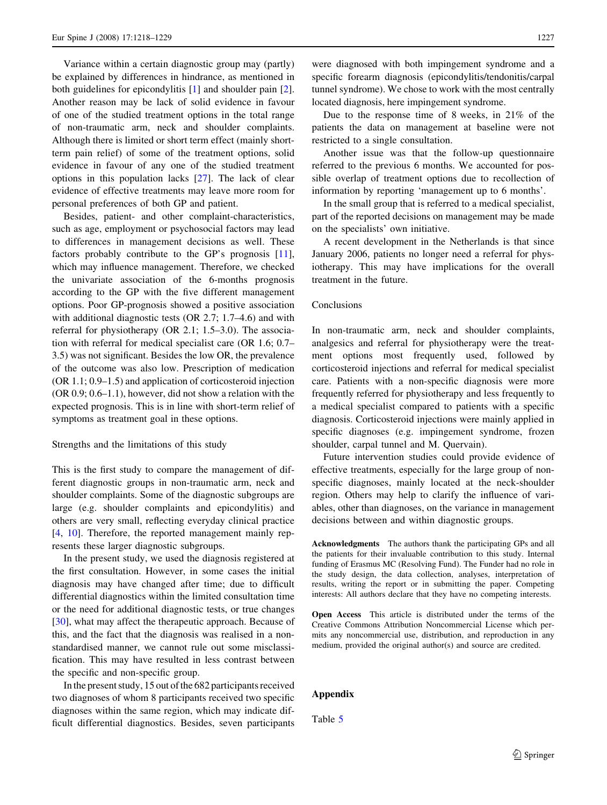Variance within a certain diagnostic group may (partly) be explained by differences in hindrance, as mentioned in both guidelines for epicondylitis [[1\]](#page-10-0) and shoulder pain [\[2](#page-10-0)]. Another reason may be lack of solid evidence in favour of one of the studied treatment options in the total range of non-traumatic arm, neck and shoulder complaints. Although there is limited or short term effect (mainly shortterm pain relief) of some of the treatment options, solid evidence in favour of any one of the studied treatment options in this population lacks [[27\]](#page-11-0). The lack of clear evidence of effective treatments may leave more room for personal preferences of both GP and patient.

Besides, patient- and other complaint-characteristics, such as age, employment or psychosocial factors may lead to differences in management decisions as well. These factors probably contribute to the GP's prognosis [\[11](#page-10-0)], which may influence management. Therefore, we checked the univariate association of the 6-months prognosis according to the GP with the five different management options. Poor GP-prognosis showed a positive association with additional diagnostic tests (OR 2.7; 1.7–4.6) and with referral for physiotherapy (OR 2.1; 1.5–3.0). The association with referral for medical specialist care (OR 1.6; 0.7– 3.5) was not significant. Besides the low OR, the prevalence of the outcome was also low. Prescription of medication (OR 1.1; 0.9–1.5) and application of corticosteroid injection (OR 0.9; 0.6–1.1), however, did not show a relation with the expected prognosis. This is in line with short-term relief of symptoms as treatment goal in these options.

#### Strengths and the limitations of this study

This is the first study to compare the management of different diagnostic groups in non-traumatic arm, neck and shoulder complaints. Some of the diagnostic subgroups are large (e.g. shoulder complaints and epicondylitis) and others are very small, reflecting everyday clinical practice [\[4](#page-10-0), [10\]](#page-10-0). Therefore, the reported management mainly represents these larger diagnostic subgroups.

In the present study, we used the diagnosis registered at the first consultation. However, in some cases the initial diagnosis may have changed after time; due to difficult differential diagnostics within the limited consultation time or the need for additional diagnostic tests, or true changes [\[30](#page-11-0)], what may affect the therapeutic approach. Because of this, and the fact that the diagnosis was realised in a nonstandardised manner, we cannot rule out some misclassification. This may have resulted in less contrast between the specific and non-specific group.

In the present study, 15 out of the 682 participants received two diagnoses of whom 8 participants received two specific diagnoses within the same region, which may indicate difficult differential diagnostics. Besides, seven participants

were diagnosed with both impingement syndrome and a specific forearm diagnosis (epicondylitis/tendonitis/carpal tunnel syndrome). We chose to work with the most centrally located diagnosis, here impingement syndrome.

Due to the response time of 8 weeks, in 21% of the patients the data on management at baseline were not restricted to a single consultation.

Another issue was that the follow-up questionnaire referred to the previous 6 months. We accounted for possible overlap of treatment options due to recollection of information by reporting 'management up to 6 months'.

In the small group that is referred to a medical specialist, part of the reported decisions on management may be made on the specialists' own initiative.

A recent development in the Netherlands is that since January 2006, patients no longer need a referral for physiotherapy. This may have implications for the overall treatment in the future.

# Conclusions

In non-traumatic arm, neck and shoulder complaints, analgesics and referral for physiotherapy were the treatment options most frequently used, followed by corticosteroid injections and referral for medical specialist care. Patients with a non-specific diagnosis were more frequently referred for physiotherapy and less frequently to a medical specialist compared to patients with a specific diagnosis. Corticosteroid injections were mainly applied in specific diagnoses (e.g. impingement syndrome, frozen shoulder, carpal tunnel and M. Quervain).

Future intervention studies could provide evidence of effective treatments, especially for the large group of nonspecific diagnoses, mainly located at the neck-shoulder region. Others may help to clarify the influence of variables, other than diagnoses, on the variance in management decisions between and within diagnostic groups.

Acknowledgments The authors thank the participating GPs and all the patients for their invaluable contribution to this study. Internal funding of Erasmus MC (Resolving Fund). The Funder had no role in the study design, the data collection, analyses, interpretation of results, writing the report or in submitting the paper. Competing interests: All authors declare that they have no competing interests.

Open Access This article is distributed under the terms of the Creative Commons Attribution Noncommercial License which permits any noncommercial use, distribution, and reproduction in any medium, provided the original author(s) and source are credited.

## Appendix

Table [5](#page-10-0)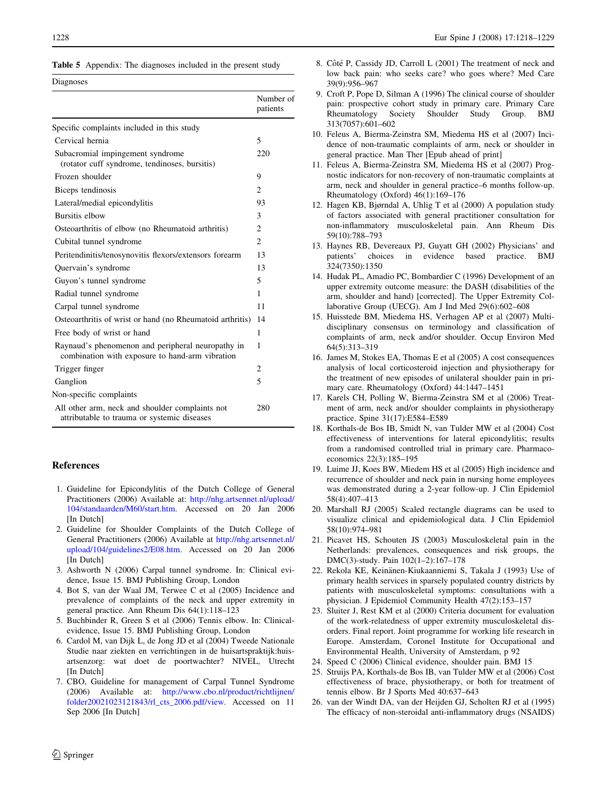<span id="page-10-0"></span>

|  | Table 5 Appendix: The diagnoses included in the present study |  |  |  |  |  |  |  |
|--|---------------------------------------------------------------|--|--|--|--|--|--|--|
|--|---------------------------------------------------------------|--|--|--|--|--|--|--|

of

Diagnoses

|                                                                                                      | Number<br>patients |
|------------------------------------------------------------------------------------------------------|--------------------|
| Specific complaints included in this study                                                           |                    |
| Cervical hernia                                                                                      | 5                  |
| Subacromial impingement syndrome<br>(rotator cuff syndrome, tendinoses, bursitis)                    | 220                |
| Frozen shoulder                                                                                      | 9                  |
| Biceps tendinosis                                                                                    | $\overline{c}$     |
| Lateral/medial epicondylitis                                                                         | 93                 |
| Bursitis elbow                                                                                       | 3                  |
| Osteoarthritis of elbow (no Rheumatoid arthritis)                                                    | 2                  |
| Cubital tunnel syndrome                                                                              | $\mathfrak{D}$     |
| Peritendinitis/tenosynovitis flexors/extensors forearm                                               | 13                 |
| Quervain's syndrome                                                                                  | 13                 |
| Guyon's tunnel syndrome                                                                              | 5                  |
| Radial tunnel syndrome                                                                               | 1                  |
| Carpal tunnel syndrome                                                                               | 11                 |
| Osteoarthritis of wrist or hand (no Rheumatoid arthritis)                                            | 14                 |
| Free body of wrist or hand                                                                           | 1                  |
| Raynaud's phenomenon and peripheral neuropathy in<br>combination with exposure to hand-arm vibration | 1                  |
| Trigger finger                                                                                       | 2                  |
| Ganglion                                                                                             | 5                  |
| Non-specific complaints                                                                              |                    |
| All other arm, neck and shoulder complaints not<br>attributable to trauma or systemic diseases       | 280                |

## References

- 1. Guideline for Epicondylitis of the Dutch College of General Practitioners (2006) Available at: [http://nhg.artsennet.nl/upload/](http://nhg.artsennet.nl/upload/104/standaarden/M60/start.htm) [104/standaarden/M60/start.htm](http://nhg.artsennet.nl/upload/104/standaarden/M60/start.htm). Accessed on 20 Jan 2006 [In Dutch]
- 2. Guideline for Shoulder Complaints of the Dutch College of General Practitioners (2006) Available at [http://nhg.artsennet.nl/](http://nhg.artsennet.nl/upload/104/guidelines2/E08.htm) [upload/104/guidelines2/E08.htm.](http://nhg.artsennet.nl/upload/104/guidelines2/E08.htm) Accessed on 20 Jan 2006 [In Dutch]
- 3. Ashworth N (2006) Carpal tunnel syndrome. In: Clinical evidence, Issue 15. BMJ Publishing Group, London
- 4. Bot S, van der Waal JM, Terwee C et al (2005) Incidence and prevalence of complaints of the neck and upper extremity in general practice. Ann Rheum Dis 64(1):118–123
- 5. Buchbinder R, Green S et al (2006) Tennis elbow. In: Clinicalevidence, Issue 15. BMJ Publishing Group, London
- 6. Cardol M, van Dijk L, de Jong JD et al (2004) Tweede Nationale Studie naar ziekten en verrichtingen in de huisartspraktijk:huisartsenzorg: wat doet de poortwachter? NIVEL, Utrecht [In Dutch]
- 7. CBO, Guideline for management of Carpal Tunnel Syndrome (2006) Available at: [http://www.cbo.nl/product/richtlijnen/](http://www.cbo.nl/product/richtlijnen/folder20021023121843/rl_cts_2006.pdf/view) [folder20021023121843/rl\\_cts\\_2006.pdf/view.](http://www.cbo.nl/product/richtlijnen/folder20021023121843/rl_cts_2006.pdf/view) Accessed on 11 Sep 2006 [In Dutch]
- 8. Côté P, Cassidy JD, Carroll L (2001) The treatment of neck and low back pain: who seeks care? who goes where? Med Care 39(9):956–967
- 9. Croft P, Pope D, Silman A (1996) The clinical course of shoulder pain: prospective cohort study in primary care. Primary Care Society Shoulder Study Group. BMJ 313(7057):601–602
- 10. Feleus A, Bierma-Zeinstra SM, Miedema HS et al (2007) Incidence of non-traumatic complaints of arm, neck or shoulder in general practice. Man Ther [Epub ahead of print]
- 11. Feleus A, Bierma-Zeinstra SM, Miedema HS et al (2007) Prognostic indicators for non-recovery of non-traumatic complaints at arm, neck and shoulder in general practice–6 months follow-up. Rheumatology (Oxford) 46(1):169–176
- 12. Hagen KB, Bjørndal A, Uhlig T et al (2000) A population study of factors associated with general practitioner consultation for non-inflammatory musculoskeletal pain. Ann Rheum Dis 59(10):788–793
- 13. Haynes RB, Devereaux PJ, Guyatt GH (2002) Physicians' and patients' choices in evidence based practice. BMJ 324(7350):1350
- 14. Hudak PL, Amadio PC, Bombardier C (1996) Development of an upper extremity outcome measure: the DASH (disabilities of the arm, shoulder and hand) [corrected]. The Upper Extremity Collaborative Group (UECG). Am J Ind Med 29(6):602–608
- 15. Huisstede BM, Miedema HS, Verhagen AP et al (2007) Multidisciplinary consensus on terminology and classification of complaints of arm, neck and/or shoulder. Occup Environ Med 64(5):313–319
- 16. James M, Stokes EA, Thomas E et al (2005) A cost consequences analysis of local corticosteroid injection and physiotherapy for the treatment of new episodes of unilateral shoulder pain in primary care. Rheumatology (Oxford) 44:1447–1451
- 17. Karels CH, Polling W, Bierma-Zeinstra SM et al (2006) Treatment of arm, neck and/or shoulder complaints in physiotherapy practice. Spine 31(17):E584–E589
- 18. Korthals-de Bos IB, Smidt N, van Tulder MW et al (2004) Cost effectiveness of interventions for lateral epicondylitis; results from a randomised controlled trial in primary care. Pharmacoeconomics 22(3):185–195
- 19. Luime JJ, Koes BW, Miedem HS et al (2005) High incidence and recurrence of shoulder and neck pain in nursing home employees was demonstrated during a 2-year follow-up. J Clin Epidemiol 58(4):407–413
- 20. Marshall RJ (2005) Scaled rectangle diagrams can be used to visualize clinical and epidemiological data. J Clin Epidemiol 58(10):974–981
- 21. Picavet HS, Schouten JS (2003) Musculoskeletal pain in the Netherlands: prevalences, consequences and risk groups, the DMC(3)-study. Pain 102(1–2):167–178
- 22. Rekola KE, Keinänen-Kiukaanniemi S, Takala J (1993) Use of primary health services in sparsely populated country districts by patients with musculoskeletal symptoms: consultations with a physician. J Epidemiol Community Health 47(2):153–157
- 23. Sluiter J, Rest KM et al (2000) Criteria document for evaluation of the work-relatedness of upper extremity musculoskeletal disorders. Final report. Joint programme for working life research in Europe. Amsterdam, Coronel Institute for Occupational and Environmental Health, University of Amsterdam, p 92
- 24. Speed C (2006) Clinical evidence, shoulder pain. BMJ 15
- 25. Struijs PA, Korthals-de Bos IB, van Tulder MW et al (2006) Cost effectiveness of brace, physiotherapy, or both for treatment of tennis elbow. Br J Sports Med 40:637–643
- 26. van der Windt DA, van der Heijden GJ, Scholten RJ et al (1995) The efficacy of non-steroidal anti-inflammatory drugs (NSAIDS)